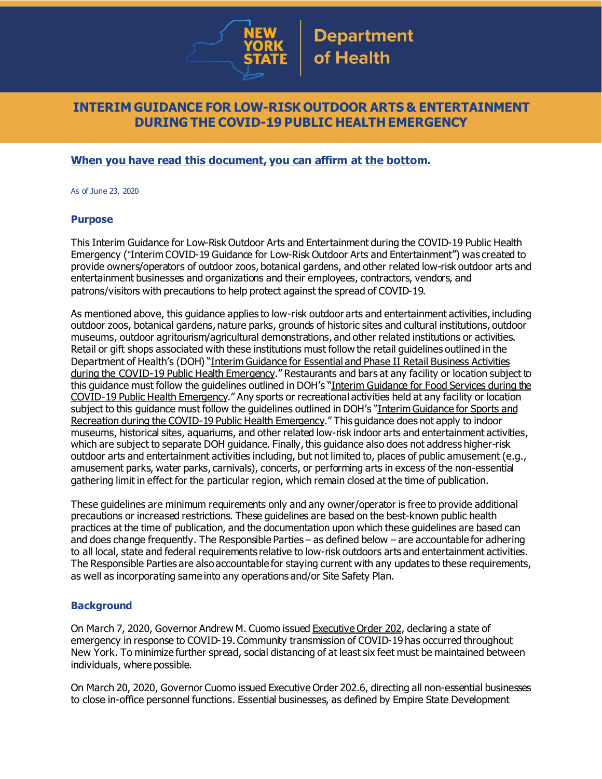

## **INTERIM GUIDANCE FOR LOW-RISK OUTDOOR ARTS & ENTERTAINMENT DURING THE COVID-19 PUBLIC HEALTH EMERGENCY**

### **When you have read this document, you can affirm at the bottom.**

As of June 23, 2020

#### **Purpose**

This Interim Guidance for Low-Risk Outdoor Arts and Entertainment during the COVID-19 Public Health Emergency ("Interim COVID-19 Guidance for Low-Risk Outdoor Arts and Entertainment") was created to provide owners/operators of outdoor zoos, botanical gardens, and other related low-risk outdoor arts and entertainment businesses and organizations and their employees, contractors, vendors, and patrons/visitors with precautions to help protect against the spread of COVID-19.

As mentioned above, this guidance applies to low-risk outdoor arts and entertainment activities, including outdoor zoos, botanical gardens, nature parks, grounds of historic sites and cultural institutions, outdoor museums, outdoor agritourism/agricultural demonstrations, and other related institutions or activities. Retail or gift shops associated with these institutions must follow the retail guidelines outlined in the Department of Health's (DOH) "Interim [Guidance](https://www.governor.ny.gov/sites/governor.ny.gov/files/atoms/files/RetailMasterGuidance.pdf) for Essential and Phase II Retail Business Activities during the COVID-19 Public Health [Emergency](https://www.governor.ny.gov/sites/governor.ny.gov/files/atoms/files/RetailMasterGuidance.pdf)." Restaurants and bars at any facility or location subject to this guidance must follow the guidelines outlined in DOH's "Interim [Guidance](https://www.governor.ny.gov/sites/governor.ny.gov/files/atoms/files/Indoor_and_Outdoor_Food_Services_Detailed_Guidelines.pdf) for Food Services during the COVID-19 Public Health [Emergency](https://www.governor.ny.gov/sites/governor.ny.gov/files/atoms/files/Indoor_and_Outdoor_Food_Services_Detailed_Guidelines.pdf)." Any sports or recreational activities held at any facility or location subject to this guidance must follow the guidelines outlined in DOH's "Interim [Guidance](https://www.governor.ny.gov/sites/governor.ny.gov/files/atoms/files/SportsAndRecreationMasterGuidance.pdf) for Sports and [Recreation](https://www.governor.ny.gov/sites/governor.ny.gov/files/atoms/files/SportsAndRecreationMasterGuidance.pdf) during the COVID-19 Public Health Emergency." This guidance does not apply to indoor museums, historical sites, aquariums, and other related low-risk indoor arts and entertainment activities, which are subject to separate DOH guidance. Finally, this guidance also does not address higher-risk outdoor arts and entertainment activities including, but not limited to, places of public amusement (e.g., amusement parks, water parks, carnivals), concerts, or performing arts in excess of the non-essential gathering limit in effect for the particular region, which remain closed at the time of publication.

These guidelines are minimum requirements only and any owner/operator is free to provide additional precautions or increased restrictions. These guidelines are based on the best-known public health practices at the time of publication, and the documentation upon which these guidelines are based can and does change frequently. The Responsible Parties – as defined below – are accountable for adhering to all local, state and federal requirements relative to low-risk outdoors arts and entertainment activities. The Responsible Parties are also accountable for staying current with any updates to these requirements, as well as incorporating same into any operations and/or Site Safety Plan.

### **Background**

On March 7, 2020, Governor Andrew M. Cuomo issued [Executive](https://www.governor.ny.gov/news/no-202-declaring-disaster-emergency-state-new-york) Order 202, declaring a state of emergency in response to COVID-19. Community transmission of COVID-19 has occurred throughout New York. To minimize further spread, social distancing of at least six feet must be maintained between individuals, where possible.

On March 20, 2020, Governor Cuomo issued [Executive](https://www.governor.ny.gov/news/no-2026-continuing-temporary-suspension-and-modification-laws-relating-disaster-emergency) Order 202.6, directing all non-essential businesses to close in-office personnel functions. Essential businesses, as defined by Empire State Development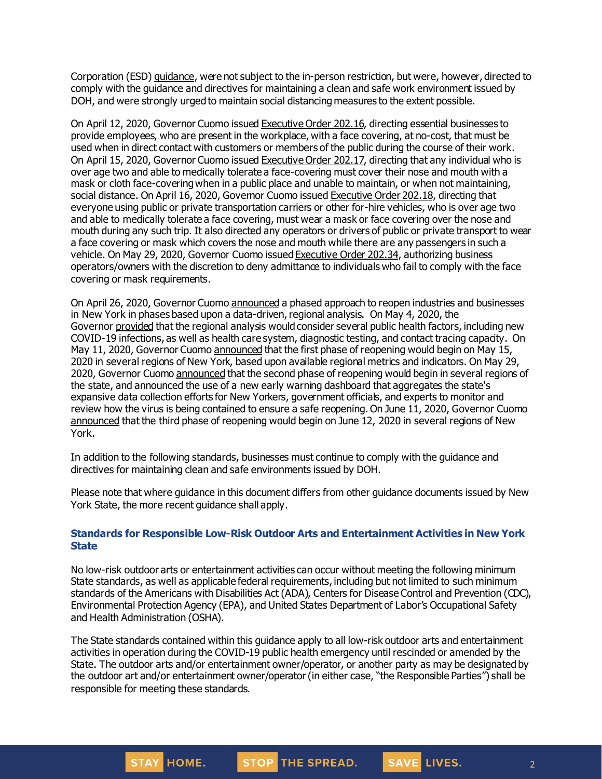Corporation (ESD) [guidance](https://esd.ny.gov/guidance-executive-order-2026), were not subject to the in-person restriction, but were, however, directed to comply with the guidance and directives for maintaining a clean and safe work environment issued by DOH, and were strongly urged to maintain social distancing measures to the extent possible.

On April 12, 2020, Governor Cuomo issued [Executive](https://www.governor.ny.gov/news/no-20216-continuing-temporary-suspension-and-modification-laws-relating-disaster-emergency) Order 202.16, directing essential businesses to provide employees, who are present in the workplace, with a face covering, at no-cost, that must be used when in direct contact with customers or members of the public during the course of their work. On April 15, 2020, Governor Cuomo issued [Executive](https://www.governor.ny.gov/news/no-20217-continuing-temporary-suspension-and-modification-laws-relating-disaster-emergency) Order 202.17, directing that any individual who is over age two and able to medically tolerate a face-covering must cover their nose and mouth with a mask or cloth face-coveringwhen in a public place and unable to maintain, or when not maintaining, social distance. On April 16, 2020, Governor Cuomo issued [Executive](https://www.governor.ny.gov/news/no-20218-continuing-temporary-suspension-and-modification-laws-relating-disaster-emergency) Order 202.18, directing that everyone using public or private transportation carriers or other for-hire vehicles, who is over age two and able to medically tolerate a face covering, must wear a mask or face covering over the nose and mouth during any such trip. It also directed any operators or drivers of public or private transport to wear a face covering or mask which covers the nose and mouth while there are any passengers in such a vehicle. On May 29, 2020, Governor Cuomo issued [Executive](https://www.governor.ny.gov/news/no-20234-continuing-temporary-suspension-and-modification-laws-relating-disaster-emergency) Order 202.34, authorizing business operators/owners with the discretion to deny admittance to individuals who fail to comply with the face covering or mask requirements.

On April 26, 2020, Governor Cuomo [announced](https://www.governor.ny.gov/news/amid-ongoing-covid-19-pandemic-governor-cuomo-outlines-phased-plan-re-open-new-york-starting) a phased approach to reopen industries and businesses in New York in phases based upon a data-driven, regional analysis. On May 4, 2020, the Governor [provided](https://www.governor.ny.gov/news/amid-ongoing-covid-19-pandemic-governor-cuomo-outlines-additional-guidelines-when-regions-can) that the regional analysis would consider several public health factors, including new COVID-19 infections, as well as health care system, diagnostic testing, and contact tracing capacity. On May 11, 2020, Governor Cuomo [announced](https://www.governor.ny.gov/news/amid-ongoing-covid-19-pandemic-governor-cuomo-announces-three-regions-new-york-state-ready) that the first phase of reopening would begin on May 15, 2020 in several regions of New York, based upon available regional metrics and indicators. On May 29, 2020, Governor Cuomo [announced](https://www.governor.ny.gov/news/governor-cuomo-announces-new-york-city-enter-phase-1-reopening-june-8-and-five-regions-enter) that the second phase of reopening would begin in several regions of the state, and announced the use of a new early warning dashboard that aggregates the state's expansive data collection efforts for New Yorkers, government officials, and experts to monitor and review how the virus is being contained to ensure a safe reopening. On June 11, 2020, Governor Cuomo [announced](https://www.governor.ny.gov/news/governor-cuomo-announces-five-regions-will-enter-phase-three-reopening-tomorrow) that the third phase of reopening would begin on June 12, 2020 in several regions of New York.

In addition to the following standards, businesses must continue to comply with the guidance and directives for maintaining clean and safe environments issued by DOH.

Please note that where guidance in this document differs from other guidance documents issued by New York State, the more recent guidance shall apply.

### **Standards for Responsible Low-Risk Outdoor Arts and Entertainment Activities in New York State**

No low-risk outdoor arts or entertainment activities can occur without meeting the following minimum State standards, as well as applicable federal requirements, including but not limited to such minimum standards of the Americans with Disabilities Act (ADA), Centers for Disease Control and Prevention (CDC), Environmental Protection Agency (EPA), and United States Department of Labor's Occupational Safety and Health Administration (OSHA).

The State standards contained within this guidance apply to all low-risk outdoor arts and entertainment activities in operation during the COVID-19 public health emergency until rescinded or amended by the State. The outdoor arts and/or entertainment owner/operator, or another party as may be designated by the outdoor art and/or entertainment owner/operator(in either case, "the Responsible Parties") shall be responsible for meeting these standards.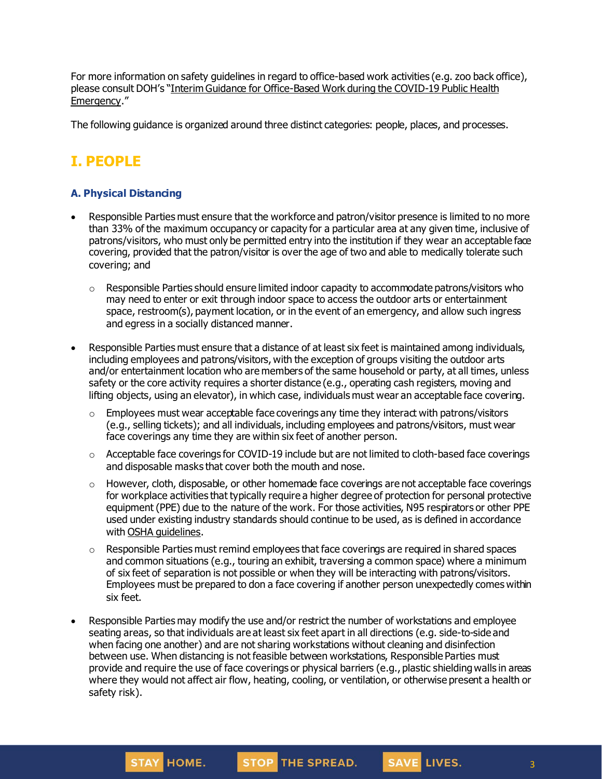For more information on safety guidelines in regard to office-based work activities (e.g. zoo back office), please consult DOH's "Interim Guidance for [Office-Based](https://www.governor.ny.gov/sites/governor.ny.gov/files/atoms/files/offices-interim-guidance.pdf) Work during the COVID-19 Public Health [Emergency](https://www.governor.ny.gov/sites/governor.ny.gov/files/atoms/files/offices-interim-guidance.pdf)."

The following guidance is organized around three distinct categories: people, places, and processes.

# **I. PEOPLE**

### **A. Physical Distancing**

- Responsible Parties must ensure that the workforce and patron/visitor presence is limited to no more than 33% of the maximum occupancy or capacity for a particular area at any given time, inclusive of patrons/visitors, who must only be permitted entry into the institution if they wear an acceptable face covering, provided that the patron/visitor is over the age of two and able to medically tolerate such covering; and
	- $\circ$  Responsible Parties should ensure limited indoor capacity to accommodate patrons/visitors who may need to enter or exit through indoor space to access the outdoor arts or entertainment space, restroom(s), payment location, or in the event of an emergency, and allow such ingress and egress in a socially distanced manner.
- Responsible Parties must ensure that a distance of at least six feet is maintained among individuals, including employees and patrons/visitors, with the exception of groups visiting the outdoor arts and/or entertainment location who are members of the same household or party, at all times, unless safety or the core activity requires a shorter distance (e.g., operating cash registers, moving and lifting objects, using an elevator), in which case, individuals must wear an acceptable face covering.
	- $\circ$  Employees must wear acceptable face coverings any time they interact with patrons/visitors (e.g., selling tickets); and all individuals, including employees and patrons/visitors, must wear face coverings any time they are within six feet of another person.
	- $\circ$  Acceptable face coverings for COVID-19 include but are not limited to cloth-based face coverings and disposable masks that cover both the mouth and nose.
	- $\circ$  However, cloth, disposable, or other homemade face coverings are not acceptable face coverings for workplace activities that typically require a higher degree of protection for personal protective equipment (PPE) due to the nature of the work. For those activities, N95 respirators or other PPE used under existing industry standards should continue to be used, as is defined in accordance with OSHA quidelines.
	- $\circ$  Responsible Parties must remind employees that face coverings are required in shared spaces and common situations (e.g., touring an exhibit, traversing a common space) where a minimum of six feet of separation is not possible or when they will be interacting with patrons/visitors. Employees must be prepared to don a face covering if another person unexpectedly comes within six feet.
- Responsible Parties may modify the use and/or restrict the number of workstations and employee seating areas, so that individuals are at least six feet apart in all directions (e.g. side-to-side and when facing one another) and are not sharing workstations without cleaning and disinfection between use. When distancing is not feasible between workstations, Responsible Parties must provide and require the use of face coverings or physical barriers (e.g., plastic shieldingwalls in areas where they would not affect air flow, heating, cooling, or ventilation, or otherwise present a health or safety risk).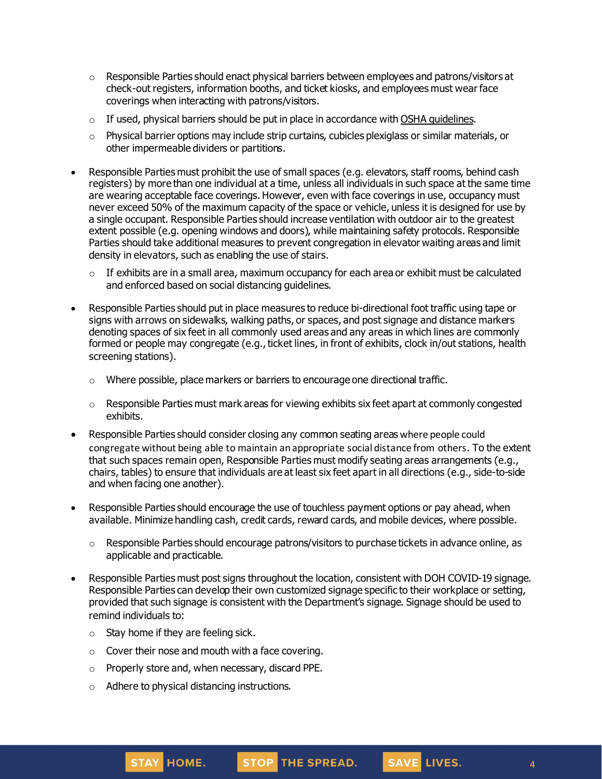- $\circ$  Responsible Parties should enact physical barriers between employees and patrons/visitors at check-out registers, information booths, and ticket kiosks, and employees must wear face coverings when interacting with patrons/visitors.
- $\circ$  If used, physical barriers should be put in place in accordance with OSHA [guidelines](https://www.osha.gov/Publications/OSHA3990.pdf).
- $\circ$  Physical barrier options may include strip curtains, cubicles plexiglass or similar materials, or other impermeable dividers or partitions.
- Responsible Parties must prohibit the use of small spaces (e.g. elevators, staff rooms, behind cash registers) by more than one individual at a time, unless all individuals in such space at the same time are wearing acceptable face coverings. However, even with face coverings in use, occupancy must never exceed 50% of the maximum capacity of the space or vehicle, unless it is designed for use by a single occupant. Responsible Parties should increase ventilation with outdoor air to the greatest extent possible (e.g. opening windows and doors), while maintaining safety protocols. Responsible Parties should take additional measures to prevent congregation in elevator waiting areas and limit density in elevators, such as enabling the use of stairs.
	- $\circ$  If exhibits are in a small area, maximum occupancy for each area or exhibit must be calculated and enforced based on social distancing guidelines.
- Responsible Parties should put in place measures to reduce bi-directional foot traffic using tape or signs with arrows on sidewalks, walking paths, or spaces, and post signage and distance markers denoting spaces of six feet in all commonly used areas and any areas in which lines are commonly formed or people may congregate (e.g., ticket lines, in front of exhibits, clock in/out stations, health screening stations).
	- o Where possible, place markers or barriers to encourage one directional traffic.
	- $\circ$  Responsible Parties must mark areas for viewing exhibits six feet apart at commonly congested exhibits.
- Responsible Parties should consider closing any common seating areas where people could congregate without being able to maintain anappropriate social distance from others. To the extent that such spaces remain open, Responsible Parties must modify seating areas arrangements (e.g., chairs, tables) to ensure that individuals are at least six feet apart in all directions (e.g., side-to-side and when facing one another).
- Responsible Parties should encourage the use of touchless payment options or pay ahead, when available. Minimize handling cash, credit cards, reward cards, and mobile devices, where possible.
	- $\circ$  Responsible Parties should encourage patrons/visitors to purchase tickets in advance online, as applicable and practicable.
- Responsible Parties must post signs throughout the location, consistent with DOH COVID-19 signage. Responsible Parties can develop their own customized signage specific to their workplace or setting, provided that such signage is consistent with the Department's signage. Signage should be used to remind individuals to:
	- $\circ$  Stay home if they are feeling sick.
	- o Cover their nose and mouth with a face covering.
	- o Properly store and, when necessary, discard PPE.
	- o Adhere to physical distancing instructions.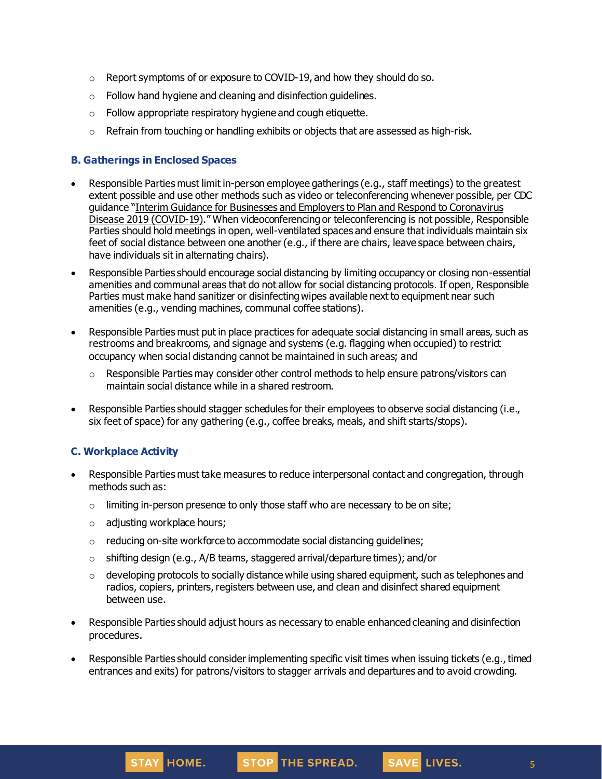- $\circ$  Report symptoms of or exposure to COVID-19, and how they should do so.
- o Follow hand hygiene and cleaning and disinfection guidelines.
- o Follow appropriate respiratory hygiene and cough etiquette.
- $\circ$  Refrain from touching or handling exhibits or objects that are assessed as high-risk.

### **B. Gatherings in Enclosed Spaces**

- Responsible Parties must limit in-person employee gatherings (e.g., staff meetings) to the greatest extent possible and use other methods such as video or teleconferencing whenever possible, per CDC guidance "Interim Guidance for Businesses and Employers to Plan and Respond to [Coronavirus](https://www.cdc.gov/coronavirus/2019-ncov/community/guidance-business-response.html) Disease 2019 [\(COVID-19\)](https://www.cdc.gov/coronavirus/2019-ncov/community/guidance-business-response.html)." When videoconferencing or teleconferencing is not possible, Responsible Parties should hold meetings in open, well-ventilated spaces and ensure that individuals maintain six feet of social distance between one another (e.g., if there are chairs, leave space between chairs, have individuals sit in alternating chairs).
- Responsible Parties should encourage social distancing by limiting occupancy or closing non-essential amenities and communal areas that do not allow for social distancing protocols. If open, Responsible Parties must make hand sanitizer or disinfecting wipes available next to equipment near such amenities (e.g., vending machines, communal coffee stations).
- Responsible Parties must put in place practices for adequate social distancing in small areas, such as restrooms and breakrooms, and signage and systems (e.g. flagging when occupied) to restrict occupancy when social distancing cannot be maintained in such areas; and
	- $\circ$  Responsible Parties may consider other control methods to help ensure patrons/visitors can maintain social distance while in a shared restroom.
- Responsible Parties should stagger schedules for their employees to observe social distancing (i.e., six feet of space) for any gathering (e.g., coffee breaks, meals, and shift starts/stops).

### **C. Workplace Activity**

- Responsible Parties must take measures to reduce interpersonal contact and congregation, through methods such as:
	- $\circ$  limiting in-person presence to only those staff who are necessary to be on site;
	- o adjusting workplace hours;
	- o reducing on-site workforce to accommodate social distancing guidelines;
	- $\circ$  shifting design (e.g., A/B teams, staggered arrival/departure times); and/or
	- $\circ$  developing protocols to socially distance while using shared equipment, such as telephones and radios, copiers, printers, registers between use, and clean and disinfect shared equipment between use.
- Responsible Parties should adjust hours as necessary to enable enhanced cleaning and disinfection procedures.
- Responsible Parties should consider implementing specific visit times when issuing tickets (e.g., timed entrances and exits) for patrons/visitors to stagger arrivals and departures and to avoid crowding.

SAVE LIVES.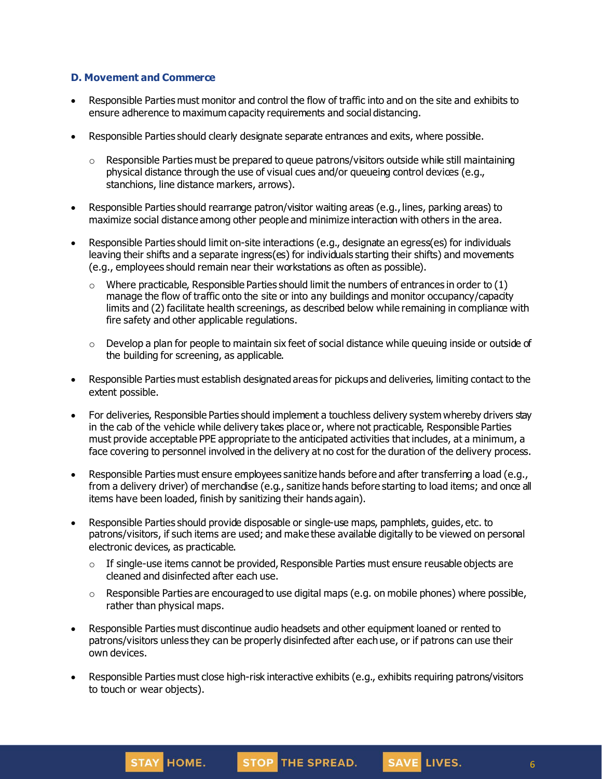### **D. Movement and Commerce**

- Responsible Parties must monitor and control the flow of traffic into and on the site and exhibits to ensure adherence to maximum capacity requirements and social distancing.
- Responsible Parties should clearly designate separate entrances and exits, where possible.
	- $\circ$  Responsible Parties must be prepared to queue patrons/visitors outside while still maintaining physical distance through the use of visual cues and/or queueing control devices (e.g., stanchions, line distance markers, arrows).
- Responsible Parties should rearrange patron/visitor waiting areas (e.g., lines, parking areas) to maximize social distance among other people and minimize interaction with others in the area.
- Responsible Parties should limit on-site interactions (e.g., designate an egress(es) for individuals leaving their shifts and a separate ingress(es) for individuals starting their shifts) and movements (e.g., employees should remain near their workstations as often as possible).
	- $\circ$  Where practicable, Responsible Parties should limit the numbers of entrances in order to (1) manage the flow of traffic onto the site or into any buildings and monitor occupancy/capacity limits and (2) facilitate health screenings, as described below while remaining in compliance with fire safety and other applicable regulations.
	- $\circ$  Develop a plan for people to maintain six feet of social distance while queuing inside or outside of the building for screening, as applicable.
- Responsible Parties must establish designated areas for pickups and deliveries, limiting contact to the extent possible.
- For deliveries, Responsible Parties should implement a touchless delivery system whereby drivers stay in the cab of the vehicle while delivery takes place or, where not practicable, Responsible Parties must provide acceptable PPE appropriate to the anticipated activities that includes, at a minimum, a face covering to personnel involved in the delivery at no cost for the duration of the delivery process.
- Responsible Parties must ensure employees sanitize hands before and after transferring a load (e.g., from a delivery driver) of merchandise (e.g., sanitize hands before starting to load items; and once all items have been loaded, finish by sanitizing their hands again).
- Responsible Parties should provide disposable or single-use maps, pamphlets, guides, etc. to patrons/visitors, if such items are used; and make these available digitally to be viewed on personal electronic devices, as practicable.
	- $\circ$  If single-use items cannot be provided, Responsible Parties must ensure reusable objects are cleaned and disinfected after each use.
	- $\circ$  Responsible Parties are encouraged to use digital maps (e.g. on mobile phones) where possible, rather than physical maps.
- Responsible Parties must discontinue audio headsets and other equipment loaned or rented to patrons/visitors unless they can be properly disinfected after each use, or if patrons can use their own devices.
- Responsible Parties must close high-risk interactive exhibits (e.g., exhibits requiring patrons/visitors to touch or wear objects).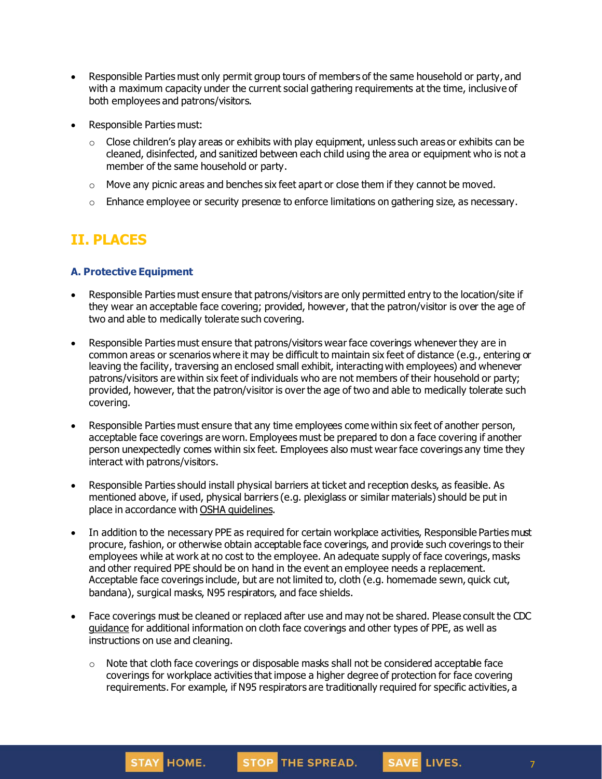- Responsible Parties must only permit group tours of members of the same household or party, and with a maximum capacity under the current social gathering requirements at the time, inclusive of both employees and patrons/visitors.
- Responsible Parties must:
	- $\circ$  Close children's play areas or exhibits with play equipment, unless such areas or exhibits can be cleaned, disinfected, and sanitized between each child using the area or equipment who is not a member of the same household or party.
	- $\circ$  Move any picnic areas and benches six feet apart or close them if they cannot be moved.
	- $\circ$  Enhance employee or security presence to enforce limitations on gathering size, as necessary.

# **II. PLACES**

### **A. Protective Equipment**

- Responsible Parties must ensure that patrons/visitors are only permitted entry to the location/site if they wear an acceptable face covering; provided, however, that the patron/visitor is over the age of two and able to medically tolerate such covering.
- Responsible Parties must ensure that patrons/visitors wear face coverings whenever they are in common areas or scenarios where it may be difficult to maintain six feet of distance (e.g., entering or leaving the facility, traversing an enclosed small exhibit, interactingwith employees) and whenever patrons/visitors are within six feet of individuals who are not members of their household or party; provided, however, that the patron/visitor is over the age of two and able to medically tolerate such covering.
- Responsible Parties must ensure that any time employees come within six feet of another person, acceptable face coverings are worn. Employees must be prepared to don a face covering if another person unexpectedly comes within six feet. Employees also must wear face coverings any time they interact with patrons/visitors.
- Responsible Parties should install physical barriers at ticket and reception desks, as feasible. As mentioned above, if used, physical barriers (e.g. plexiglass or similar materials) should be put in place in accordance with OSHA [guidelines](https://www.osha.gov/Publications/OSHA3990.pdf).
- In addition to the necessary PPE as required for certain workplace activities, Responsible Parties must procure, fashion, or otherwise obtain acceptable face coverings, and provide such coverings to their employees while at work at no cost to the employee. An adequate supply of face coverings, masks and other required PPE should be on hand in the event an employee needs a replacement. Acceptable face coverings include, but are not limited to, cloth (e.g. homemade sewn, quick cut, bandana), surgical masks, N95 respirators, and face shields.
- Face coverings must be cleaned or replaced after use and may not be shared. Please consult the CDC [guidance](https://www.cdc.gov/coronavirus/2019-ncov/community/guidance-business-response.html) for additional information on cloth face coverings and other types of PPE, as well as instructions on use and cleaning.
	- $\circ$  Note that cloth face coverings or disposable masks shall not be considered acceptable face coverings for workplace activities that impose a higher degree of protection for face covering requirements. For example, if N95 respirators are traditionally required for specific activities, a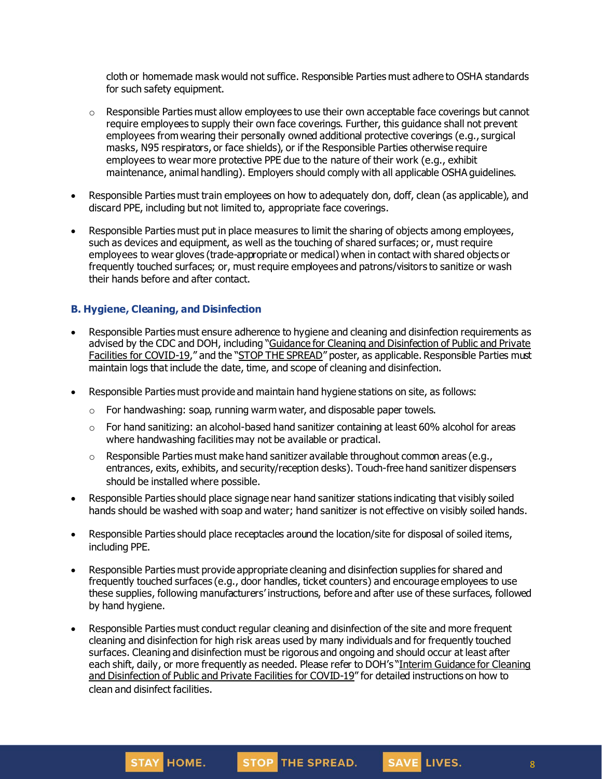cloth or homemade mask would not suffice. Responsible Parties must adhere to OSHA standards for such safety equipment.

- $\circ$  Responsible Parties must allow employees to use their own acceptable face coverings but cannot require employees to supply their own face coverings. Further, this guidance shall not prevent employees from wearing their personally owned additional protective coverings (e.g., surgical masks, N95 respirators, or face shields), or if the Responsible Parties otherwise require employees to wear more protective PPE due to the nature of their work (e.g., exhibit maintenance, animal handling). Employers should comply with all applicable OSHA guidelines.
- Responsible Parties must train employees on how to adequately don, doff, clean (as applicable), and discard PPE, including but not limited to, appropriate face coverings.
- Responsible Parties must put in place measures to limit the sharing of objects among employees, such as devices and equipment, as well as the touching of shared surfaces; or, must require employees to wear gloves (trade-appropriate or medical) when in contact with shared objects or frequently touched surfaces; or, must require employees and patrons/visitors to sanitize or wash their hands before and after contact.

### **B. Hygiene, Cleaning, and Disinfection**

- Responsible Parties must ensure adherence to hygiene and cleaning and disinfection requirements as advised by the CDC and DOH, including "Guidance for Cleaning and [Disinfection](https://coronavirus.health.ny.gov/system/files/documents/2020/03/cleaning_guidance_general_building.pdf) of Public and Private Facilities for [COVID-19](https://coronavirus.health.ny.gov/system/files/documents/2020/03/cleaning_guidance_general_building.pdf)," and the "STOP THE [SPREAD](https://coronavirus.health.ny.gov/system/files/documents/2020/04/13067_coronavirus_protectyourself_poster_042020.pdf)" poster, as applicable. Responsible Parties must maintain logs that include the date, time, and scope of cleaning and disinfection.
- Responsible Parties must provide and maintain hand hygiene stations on site, as follows:
	- o For handwashing: soap, running warm water, and disposable paper towels.
	- $\circ$  For hand sanitizing: an alcohol-based hand sanitizer containing at least 60% alcohol for areas where handwashing facilities may not be available or practical.
	- $\circ$  Responsible Parties must make hand sanitizer available throughout common areas (e.g., entrances, exits, exhibits, and security/reception desks). Touch-free hand sanitizer dispensers should be installed where possible.
- Responsible Parties should place signage near hand sanitizer stations indicating that visibly soiled hands should be washed with soap and water; hand sanitizer is not effective on visibly soiled hands.
- Responsible Parties should place receptacles around the location/site for disposal of soiled items, including PPE.
- Responsible Parties must provide appropriate cleaning and disinfection supplies for shared and frequently touched surfaces (e.g., door handles, ticket counters) and encourage employees to use these supplies, following manufacturers' instructions, before and after use of these surfaces, followed by hand hygiene.
- Responsible Parties must conduct regular cleaning and disinfection of the site and more frequent cleaning and disinfection for high risk areas used by many individuals and for frequently touched surfaces. Cleaning and disinfection must be rigorous and ongoing and should occur at least after each shift, daily, or more frequently as needed. Please refer to DOH's "Interim [Guidance](https://coronavirus.health.ny.gov/system/files/documents/2020/03/cleaning_guidance_general_building.pdf) for Cleaning and [Disinfection](https://coronavirus.health.ny.gov/system/files/documents/2020/03/cleaning_guidance_general_building.pdf) of Public and Private Facilities for COVID-19" for detailed instructions on how to clean and disinfect facilities.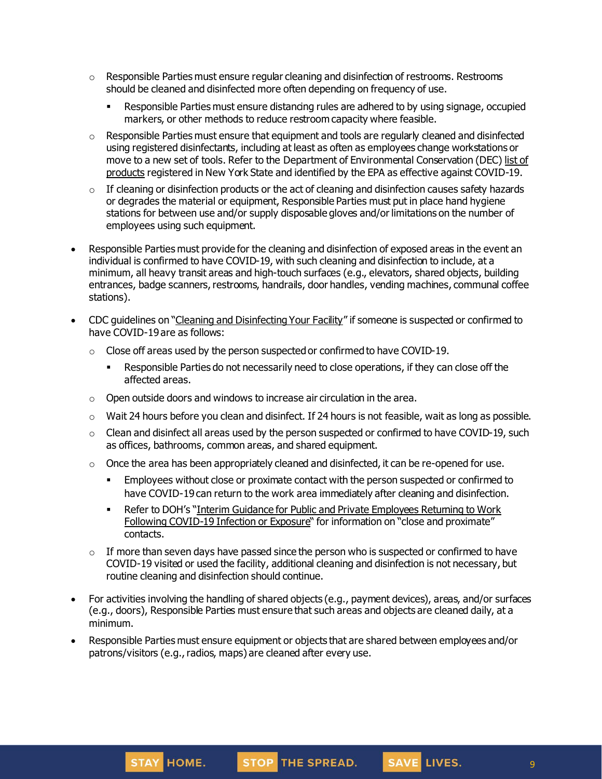- $\circ$  Responsible Parties must ensure regular cleaning and disinfection of restrooms. Restrooms should be cleaned and disinfected more often depending on frequency of use.
	- **EXECT** Responsible Parties must ensure distancing rules are adhered to by using signage, occupied markers, or other methods to reduce restroom capacity where feasible.
- $\circ$  Responsible Parties must ensure that equipment and tools are regularly cleaned and disinfected using registered disinfectants, including at least as often as employees change workstations or move to a new set of tools. Refer to the Department of Environmental Conservation (DEC) [list](http://www.dec.ny.gov/docs/materials_minerals_pdf/covid19.pdf) of [products](http://www.dec.ny.gov/docs/materials_minerals_pdf/covid19.pdf) registered in New York State and identified by the EPA as effective against COVID-19.
- $\circ$  If cleaning or disinfection products or the act of cleaning and disinfection causes safety hazards or degrades the material or equipment, Responsible Parties must put in place hand hygiene stations for between use and/or supply disposable gloves and/or limitations on the number of employees using such equipment.
- Responsible Parties must provide for the cleaning and disinfection of exposed areas in the event an individual is confirmed to have COVID-19, with such cleaning and disinfection to include, at a minimum, all heavy transit areas and high-touch surfaces (e.g., elevators, shared objects, building entrances, badge scanners, restrooms, handrails, door handles, vending machines, communal coffee stations).
- CDC quidelines on "Cleaning and [Disinfecting](https://www.cdc.gov/coronavirus/2019-ncov/community/disinfecting-building-facility.html) Your Facility" if someone is suspected or confirmed to have COVID-19 are as follows:
	- $\circ$  Close off areas used by the person suspected or confirmed to have COVID-19.
		- Responsible Parties do not necessarily need to close operations, if they can close off the affected areas.
	- $\circ$  Open outside doors and windows to increase air circulation in the area.
	- o Wait 24 hours before you clean and disinfect. If 24 hours is not feasible, wait as long as possible.
	- $\circ$  Clean and disinfect all areas used by the person suspected or confirmed to have COVID-19, such as offices, bathrooms, common areas, and shared equipment.
	- $\circ$  Once the area has been appropriately cleaned and disinfected, it can be re-opened for use.
		- **Employees without close or proximate contact with the person suspected or confirmed to** have COVID-19 can return to the work area immediately after cleaning and disinfection.
		- **Refer to DOH's "Interim Guidance for Public and Private [Employees](https://coronavirus.health.ny.gov/system/files/documents/2020/06/doh_covid19_publicprivateemployeereturntowork_053120.pdf) Returning to Work** Following [COVID-19](https://coronavirus.health.ny.gov/system/files/documents/2020/06/doh_covid19_publicprivateemployeereturntowork_053120.pdf) Infection or Exposure" for information on "close and proximate" contacts.
	- $\circ$  If more than seven days have passed since the person who is suspected or confirmed to have COVID-19 visited or used the facility, additional cleaning and disinfection is not necessary, but routine cleaning and disinfection should continue.
- For activities involving the handling of shared objects (e.g., payment devices), areas, and/or surfaces (e.g., doors), Responsible Parties must ensure that such areas and objects are cleaned daily, at a minimum.
- Responsible Parties must ensure equipment or objects that are shared between employees and/or patrons/visitors (e.g., radios, maps) are cleaned after every use.



SAVE LIVES.

9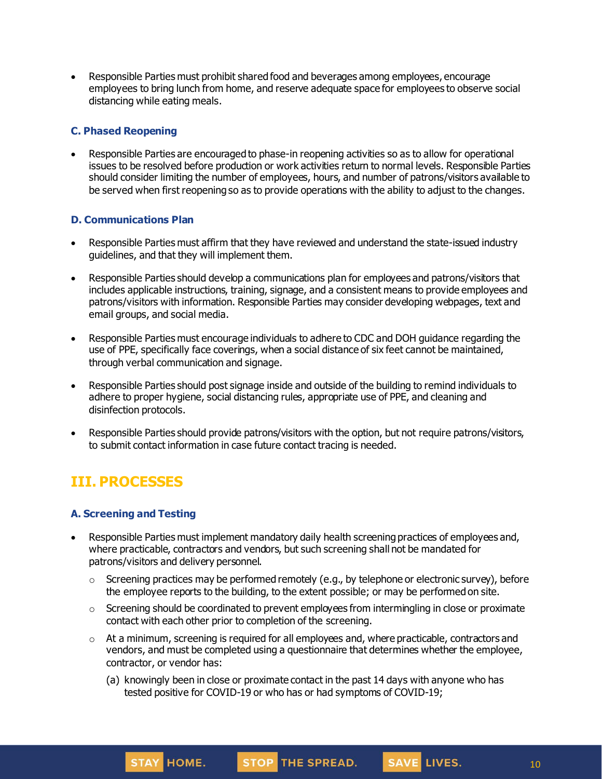• Responsible Parties must prohibit shared food and beverages among employees, encourage employees to bring lunch from home, and reserve adequate space for employees to observe social distancing while eating meals.

### **C. Phased Reopening**

• Responsible Parties are encouraged to phase-in reopening activities so as to allow for operational issues to be resolved before production or work activities return to normal levels. Responsible Parties should consider limiting the number of employees, hours, and number of patrons/visitors available to be served when first reopening so as to provide operations with the ability to adjust to the changes.

### **D. Communications Plan**

- Responsible Parties must affirm that they have reviewed and understand the state-issued industry guidelines, and that they will implement them.
- Responsible Parties should develop a communications plan for employees and patrons/visitors that includes applicable instructions, training, signage, and a consistent means to provide employees and patrons/visitors with information. Responsible Parties may consider developing webpages, text and email groups, and social media.
- Responsible Parties must encourage individuals to adhere to CDC and DOH guidance regarding the use of PPE, specifically face coverings, when a social distance of six feet cannot be maintained, through verbal communication and signage.
- Responsible Parties should post signage inside and outside of the building to remind individuals to adhere to proper hygiene, social distancing rules, appropriate use of PPE, and cleaning and disinfection protocols.
- Responsible Parties should provide patrons/visitors with the option, but not require patrons/visitors, to submit contact information in case future contact tracing is needed.

# **III. PROCESSES**

### **A. Screening and Testing**

- Responsible Parties must implement mandatory daily health screening practices of employees and, where practicable, contractors and vendors, but such screening shall not be mandated for patrons/visitors and delivery personnel.
	- $\circ$  Screening practices may be performed remotely (e.g., by telephone or electronic survey), before the employee reports to the building, to the extent possible; or may be performed on site.
	- $\circ$  Screening should be coordinated to prevent employees from intermingling in close or proximate contact with each other prior to completion of the screening.
	- $\circ$  At a minimum, screening is required for all employees and, where practicable, contractors and vendors, and must be completed using a questionnaire that determines whether the employee, contractor, or vendor has:
		- (a) knowingly been in close or proximate contact in the past 14 days with anyone who has tested positive for COVID-19 or who has or had symptoms of COVID-19;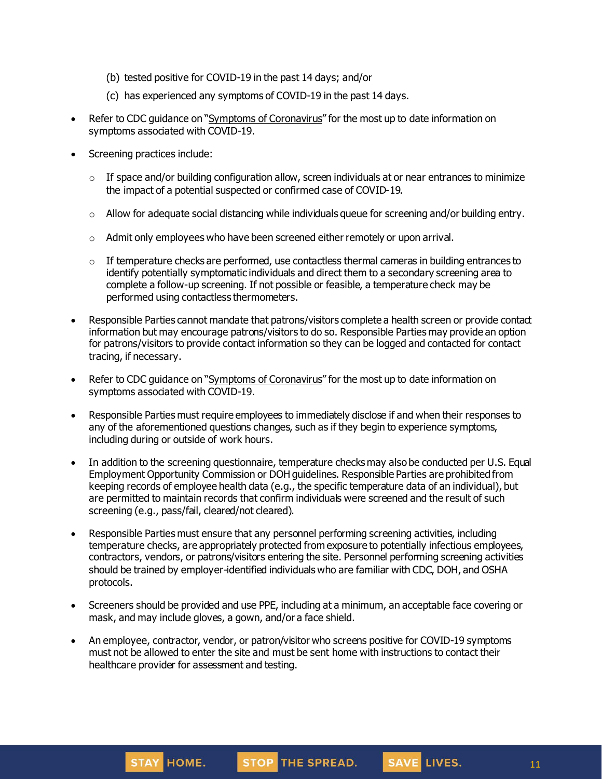- (b) tested positive for COVID-19 in the past 14 days; and/or
- (c) has experienced any symptoms of COVID-19 in the past 14 days.
- Refer to CDC guidance on "Symptoms of [Coronavirus](https://www.cdc.gov/coronavirus/2019-ncov/symptoms-testing/symptoms.html)" for the most up to date information on symptoms associated with COVID-19.
- Screening practices include:
	- $\circ$  If space and/or building configuration allow, screen individuals at or near entrances to minimize the impact of a potential suspected or confirmed case of COVID-19.
	- $\circ$  Allow for adequate social distancing while individuals queue for screening and/or building entry.
	- o Admit only employees who have been screened either remotely or upon arrival.
	- $\circ$  If temperature checks are performed, use contactless thermal cameras in building entrances to identify potentially symptomatic individuals and direct them to a secondary screening area to complete a follow-up screening. If not possible or feasible, a temperature check may be performed using contactless thermometers.
- Responsible Parties cannot mandate that patrons/visitors complete a health screen or provide contact information but may encourage patrons/visitors to do so. Responsible Parties may provide an option for patrons/visitors to provide contact information so they can be logged and contacted for contact tracing, if necessary.
- Refer to CDC quidance on "Symptoms of [Coronavirus](https://www.cdc.gov/coronavirus/2019-ncov/symptoms-testing/symptoms.html)" for the most up to date information on symptoms associated with COVID-19.
- Responsible Parties must require employees to immediately disclose if and when their responses to any of the aforementioned questions changes, such as if they begin to experience symptoms, including during or outside of work hours.
- In addition to the screening questionnaire, temperature checks may also be conducted per U.S. Equal Employment Opportunity Commission or DOH guidelines. Responsible Parties are prohibited from keeping records of employee health data (e.g., the specific temperature data of an individual), but are permitted to maintain records that confirm individuals were screened and the result of such screening (e.g., pass/fail, cleared/not cleared).
- Responsible Parties must ensure that any personnel performing screening activities, including temperature checks, are appropriately protected from exposure to potentially infectious employees, contractors, vendors, or patrons/visitors entering the site. Personnel performing screening activities should be trained by employer-identified individuals who are familiar with CDC, DOH, and OSHA protocols.
- Screeners should be provided and use PPE, including at a minimum, an acceptable face covering or mask, and may include gloves, a gown, and/or a face shield.
- An employee, contractor, vendor, or patron/visitor who screens positive for COVID-19 symptoms must not be allowed to enter the site and must be sent home with instructions to contact their healthcare provider for assessment and testing.





SAVE LIVES.

11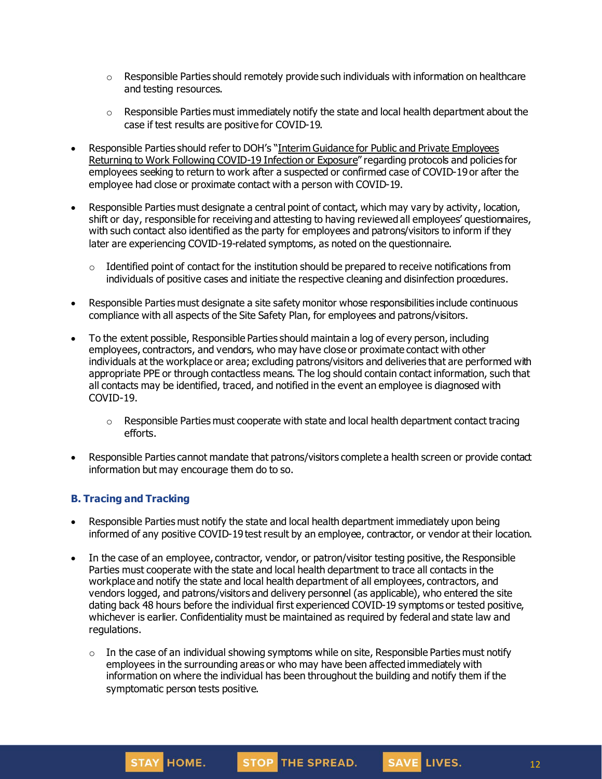- $\circ$  Responsible Parties should remotely provide such individuals with information on healthcare and testing resources.
- $\circ$  Responsible Parties must immediately notify the state and local health department about the case if test results are positive for COVID-19.
- Responsible Parties should refer to DOH's "Interim Guidance for Public and Private [Employees](https://coronavirus.health.ny.gov/system/files/documents/2020/06/doh_covid19_publicprivateemployeereturntowork_053120.pdf) Returning to Work Following [COVID-19](https://coronavirus.health.ny.gov/system/files/documents/2020/06/doh_covid19_publicprivateemployeereturntowork_053120.pdf) Infection or Exposure" regarding protocols and policies for employees seeking to return to work after a suspected or confirmed case of COVID-19 or after the employee had close or proximate contact with a person with COVID-19.
- Responsible Parties must designate a central point of contact, which may vary by activity, location, shift or day, responsible for receiving and attesting to having reviewed all employees' questionnaires, with such contact also identified as the party for employees and patrons/visitors to inform if they later are experiencing COVID-19-related symptoms, as noted on the questionnaire.
	- $\circ$  Identified point of contact for the institution should be prepared to receive notifications from individuals of positive cases and initiate the respective cleaning and disinfection procedures.
- Responsible Parties must designate a site safety monitor whose responsibilities include continuous compliance with all aspects of the Site Safety Plan, for employees and patrons/visitors.
- To the extent possible, Responsible Parties should maintain a log of every person, including employees, contractors, and vendors, who may have close or proximate contact with other individuals at the workplace or area; excluding patrons/visitors and deliveries that are performed with appropriate PPE or through contactless means. The log should contain contact information, such that all contacts may be identified, traced, and notified in the event an employee is diagnosed with COVID-19.
	- $\circ$  Responsible Parties must cooperate with state and local health department contact tracing efforts.
- Responsible Parties cannot mandate that patrons/visitors complete a health screen or provide contact information but may encourage them do to so.

### **B. Tracing and Tracking**

STAY HOME.

- Responsible Parties must notify the state and local health department immediately upon being informed of any positive COVID-19 test result by an employee, contractor, or vendor at their location.
- In the case of an employee, contractor, vendor, or patron/visitor testing positive, the Responsible Parties must cooperate with the state and local health department to trace all contacts in the workplace and notify the state and local health department of all employees, contractors, and vendors logged, and patrons/visitors and delivery personnel (as applicable), who entered the site dating back 48 hours before the individual first experienced COVID-19 symptoms or tested positive, whichever is earlier. Confidentiality must be maintained as required by federal and state law and regulations.
	- $\circ$  In the case of an individual showing symptoms while on site, Responsible Parties must notify employees in the surrounding areas or who may have been affected immediately with information on where the individual has been throughout the building and notify them if the symptomatic person tests positive.

STOP THE SPREAD.

12